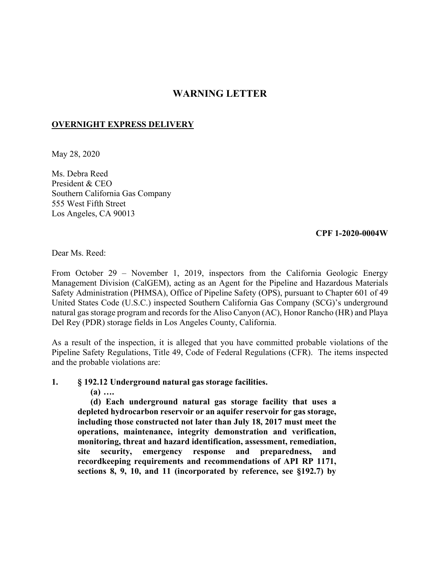# **WARNING LETTER**

## **OVERNIGHT EXPRESS DELIVERY**

May 28, 2020

Ms. Debra Reed President & CEO Southern California Gas Company 555 West Fifth Street Los Angeles, CA 90013

#### **CPF 1-2020-0004W**

Dear Ms. Reed:

From October 29 – November 1, 2019, inspectors from the California Geologic Energy Management Division (CalGEM), acting as an Agent for the Pipeline and Hazardous Materials Safety Administration (PHMSA), Office of Pipeline Safety (OPS), pursuant to Chapter 601 of 49 United States Code (U.S.C.) inspected Southern California Gas Company (SCG)'s underground natural gas storage program and records for the Aliso Canyon (AC), Honor Rancho (HR) and Playa Del Rey (PDR) storage fields in Los Angeles County, California.

As a result of the inspection, it is alleged that you have committed probable violations of the Pipeline Safety Regulations, Title 49, Code of Federal Regulations (CFR). The items inspected and the probable violations are:

**1. § 192.12 Underground natural gas storage facilities.** 

**(a) ….** 

**(d) Each underground natural gas storage facility that uses a depleted hydrocarbon reservoir or an aquifer reservoir for gas storage, including those constructed not later than July 18, 2017 must meet the operations, maintenance, integrity demonstration and verification, monitoring, threat and hazard identification, assessment, remediation, site security, emergency response and preparedness, and recordkeeping requirements and recommendations of API RP 1171, sections 8, 9, 10, and 11 (incorporated by reference, see §192.7) by**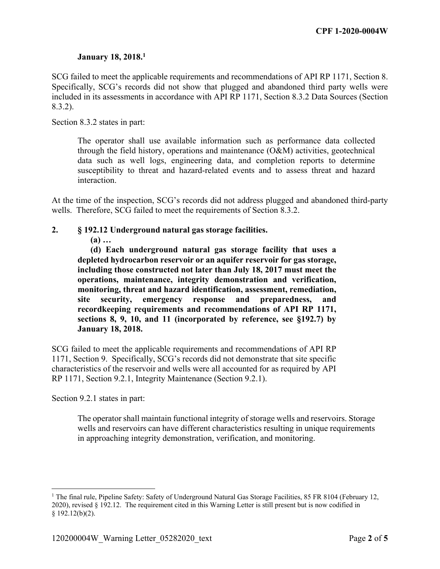## **January 18, 2018.1**

SCG failed to meet the applicable requirements and recommendations of API RP 1171, Section 8. Specifically, SCG's records did not show that plugged and abandoned third party wells were included in its assessments in accordance with API RP 1171, Section 8.3.2 Data Sources (Section 8.3.2).

Section 8.3.2 states in part:

The operator shall use available information such as performance data collected through the field history, operations and maintenance (O&M) activities, geotechnical data such as well logs, engineering data, and completion reports to determine susceptibility to threat and hazard-related events and to assess threat and hazard interaction.

At the time of the inspection, SCG's records did not address plugged and abandoned third-party wells. Therefore, SCG failed to meet the requirements of Section 8.3.2.

### **2. § 192.12 Underground natural gas storage facilities.**

**(a) …** 

**(d) Each underground natural gas storage facility that uses a depleted hydrocarbon reservoir or an aquifer reservoir for gas storage, including those constructed not later than July 18, 2017 must meet the operations, maintenance, integrity demonstration and verification, monitoring, threat and hazard identification, assessment, remediation, site security, emergency response and preparedness, and recordkeeping requirements and recommendations of API RP 1171, sections 8, 9, 10, and 11 (incorporated by reference, see §192.7) by January 18, 2018.** 

SCG failed to meet the applicable requirements and recommendations of API RP 1171, Section 9. Specifically, SCG's records did not demonstrate that site specific characteristics of the reservoir and wells were all accounted for as required by API RP 1171, Section 9.2.1, Integrity Maintenance (Section 9.2.1).

Section 9.2.1 states in part:

1

The operator shall maintain functional integrity of storage wells and reservoirs. Storage wells and reservoirs can have different characteristics resulting in unique requirements in approaching integrity demonstration, verification, and monitoring.

<sup>&</sup>lt;sup>1</sup> The final rule, Pipeline Safety: Safety of Underground Natural Gas Storage Facilities, 85 FR 8104 (February 12, 2020), revised § 192.12. The requirement cited in this Warning Letter is still present but is now codified in  $§$  192.12(b)(2).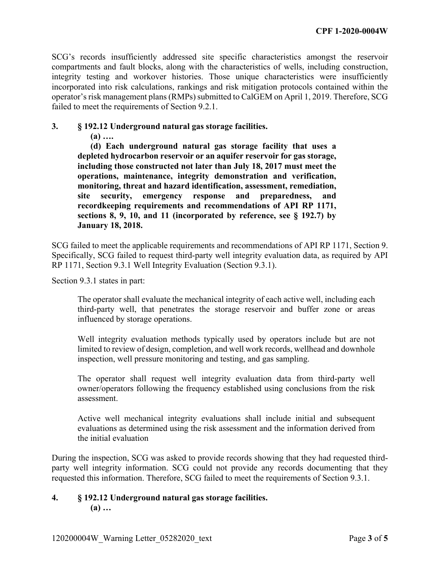SCG's records insufficiently addressed site specific characteristics amongst the reservoir compartments and fault blocks, along with the characteristics of wells, including construction, integrity testing and workover histories. Those unique characteristics were insufficiently incorporated into risk calculations, rankings and risk mitigation protocols contained within the operator's risk management plans (RMPs) submitted to CalGEM on April 1, 2019. Therefore, SCG failed to meet the requirements of Section 9.2.1.

## **3. § 192.12 Underground natural gas storage facilities.**

**(a) ….** 

**(d) Each underground natural gas storage facility that uses a depleted hydrocarbon reservoir or an aquifer reservoir for gas storage, including those constructed not later than July 18, 2017 must meet the operations, maintenance, integrity demonstration and verification, monitoring, threat and hazard identification, assessment, remediation, site security, emergency response and preparedness, and recordkeeping requirements and recommendations of API RP 1171, sections 8, 9, 10, and 11 (incorporated by reference, see § 192.7) by January 18, 2018.** 

SCG failed to meet the applicable requirements and recommendations of API RP 1171, Section 9. Specifically, SCG failed to request third-party well integrity evaluation data, as required by API RP 1171, Section 9.3.1 Well Integrity Evaluation (Section 9.3.1).

Section 9.3.1 states in part:

The operator shall evaluate the mechanical integrity of each active well, including each third-party well, that penetrates the storage reservoir and buffer zone or areas influenced by storage operations.

Well integrity evaluation methods typically used by operators include but are not limited to review of design, completion, and well work records, wellhead and downhole inspection, well pressure monitoring and testing, and gas sampling.

The operator shall request well integrity evaluation data from third-party well owner/operators following the frequency established using conclusions from the risk assessment.

Active well mechanical integrity evaluations shall include initial and subsequent evaluations as determined using the risk assessment and the information derived from the initial evaluation

During the inspection, SCG was asked to provide records showing that they had requested thirdparty well integrity information. SCG could not provide any records documenting that they requested this information. Therefore, SCG failed to meet the requirements of Section 9.3.1.

#### **4. § 192.12 Underground natural gas storage facilities. (a) …**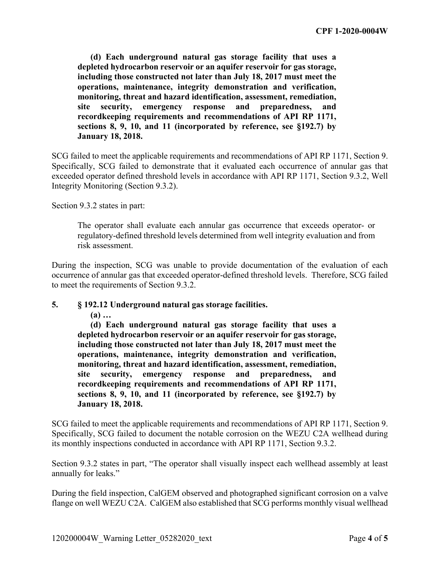**(d) Each underground natural gas storage facility that uses a depleted hydrocarbon reservoir or an aquifer reservoir for gas storage, including those constructed not later than July 18, 2017 must meet the operations, maintenance, integrity demonstration and verification, monitoring, threat and hazard identification, assessment, remediation, site security, emergency response and preparedness, and recordkeeping requirements and recommendations of API RP 1171, sections 8, 9, 10, and 11 (incorporated by reference, see §192.7) by January 18, 2018.** 

SCG failed to meet the applicable requirements and recommendations of API RP 1171, Section 9. Specifically, SCG failed to demonstrate that it evaluated each occurrence of annular gas that exceeded operator defined threshold levels in accordance with API RP 1171, Section 9.3.2, Well Integrity Monitoring (Section 9.3.2).

Section 9.3.2 states in part:

The operator shall evaluate each annular gas occurrence that exceeds operator- or regulatory-defined threshold levels determined from well integrity evaluation and from risk assessment.

During the inspection, SCG was unable to provide documentation of the evaluation of each occurrence of annular gas that exceeded operator-defined threshold levels. Therefore, SCG failed to meet the requirements of Section 9.3.2.

#### **5. § 192.12 Underground natural gas storage facilities.**

**(a) …** 

**(d) Each underground natural gas storage facility that uses a depleted hydrocarbon reservoir or an aquifer reservoir for gas storage, including those constructed not later than July 18, 2017 must meet the operations, maintenance, integrity demonstration and verification, monitoring, threat and hazard identification, assessment, remediation, site security, emergency response and preparedness, and recordkeeping requirements and recommendations of API RP 1171, sections 8, 9, 10, and 11 (incorporated by reference, see §192.7) by January 18, 2018.** 

SCG failed to meet the applicable requirements and recommendations of API RP 1171, Section 9. Specifically, SCG failed to document the notable corrosion on the WEZU C2A wellhead during its monthly inspections conducted in accordance with API RP 1171, Section 9.3.2.

Section 9.3.2 states in part, "The operator shall visually inspect each wellhead assembly at least annually for leaks."

During the field inspection, CalGEM observed and photographed significant corrosion on a valve flange on well WEZU C2A. CalGEM also established that SCG performs monthly visual wellhead